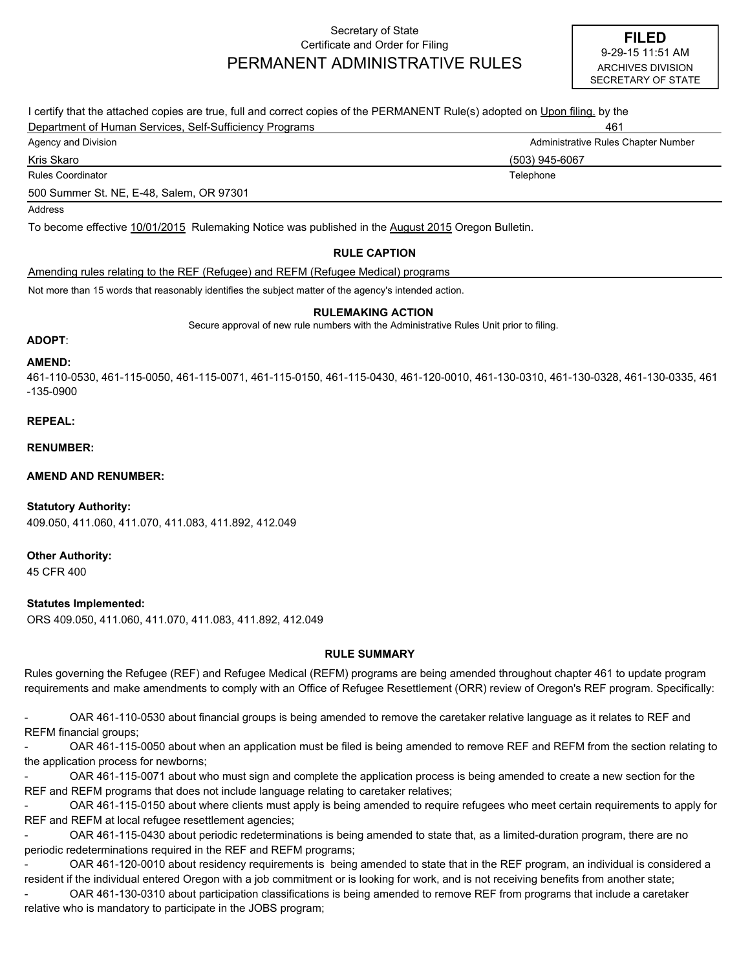## Secretary of State Certificate and Order for Filing PERMANENT ADMINISTRATIVE RULES

| I certify that the attached copies are true, full and correct copies of the PERMANENT Rule(s) adopted on Upon filing, by the |                                     |
|------------------------------------------------------------------------------------------------------------------------------|-------------------------------------|
| Department of Human Services, Self-Sufficiency Programs                                                                      | 461                                 |
| Agency and Division                                                                                                          | Administrative Rules Chapter Number |
| Kris Skaro                                                                                                                   | (503) 945-6067                      |
| Rules Coordinator                                                                                                            | Telephone                           |
| 500 Summer St. NE, E-48, Salem, OR 97301                                                                                     |                                     |
| Address                                                                                                                      |                                     |
| To become effective 10/01/2015 Rulemaking Notice was published in the August 2015 Oregon Bulletin.                           |                                     |

### **RULE CAPTION**

Amending rules relating to the REF (Refugee) and REFM (Refugee Medical) programs

Not more than 15 words that reasonably identifies the subject matter of the agency's intended action.

#### **RULEMAKING ACTION**

Secure approval of new rule numbers with the Administrative Rules Unit prior to filing.

#### **ADOPT**:

#### **AMEND:**

461-110-0530, 461-115-0050, 461-115-0071, 461-115-0150, 461-115-0430, 461-120-0010, 461-130-0310, 461-130-0328, 461-130-0335, 461 -135-0900

#### **REPEAL:**

**RENUMBER:**

**AMEND AND RENUMBER:**

409.050, 411.060, 411.070, 411.083, 411.892, 412.049 **Statutory Authority:**

**Other Authority:**

45 CFR 400

#### **Statutes Implemented:**

ORS 409.050, 411.060, 411.070, 411.083, 411.892, 412.049

#### **RULE SUMMARY**

Rules governing the Refugee (REF) and Refugee Medical (REFM) programs are being amended throughout chapter 461 to update program requirements and make amendments to comply with an Office of Refugee Resettlement (ORR) review of Oregon's REF program. Specifically:

- OAR 461-110-0530 about financial groups is being amended to remove the caretaker relative language as it relates to REF and REFM financial groups;

- OAR 461-115-0050 about when an application must be filed is being amended to remove REF and REFM from the section relating to the application process for newborns;

- OAR 461-115-0071 about who must sign and complete the application process is being amended to create a new section for the REF and REFM programs that does not include language relating to caretaker relatives;

- OAR 461-115-0150 about where clients must apply is being amended to require refugees who meet certain requirements to apply for REF and REFM at local refugee resettlement agencies;

- OAR 461-115-0430 about periodic redeterminations is being amended to state that, as a limited-duration program, there are no periodic redeterminations required in the REF and REFM programs;

OAR 461-120-0010 about residency requirements is being amended to state that in the REF program, an individual is considered a resident if the individual entered Oregon with a job commitment or is looking for work, and is not receiving benefits from another state;

- OAR 461-130-0310 about participation classifications is being amended to remove REF from programs that include a caretaker relative who is mandatory to participate in the JOBS program;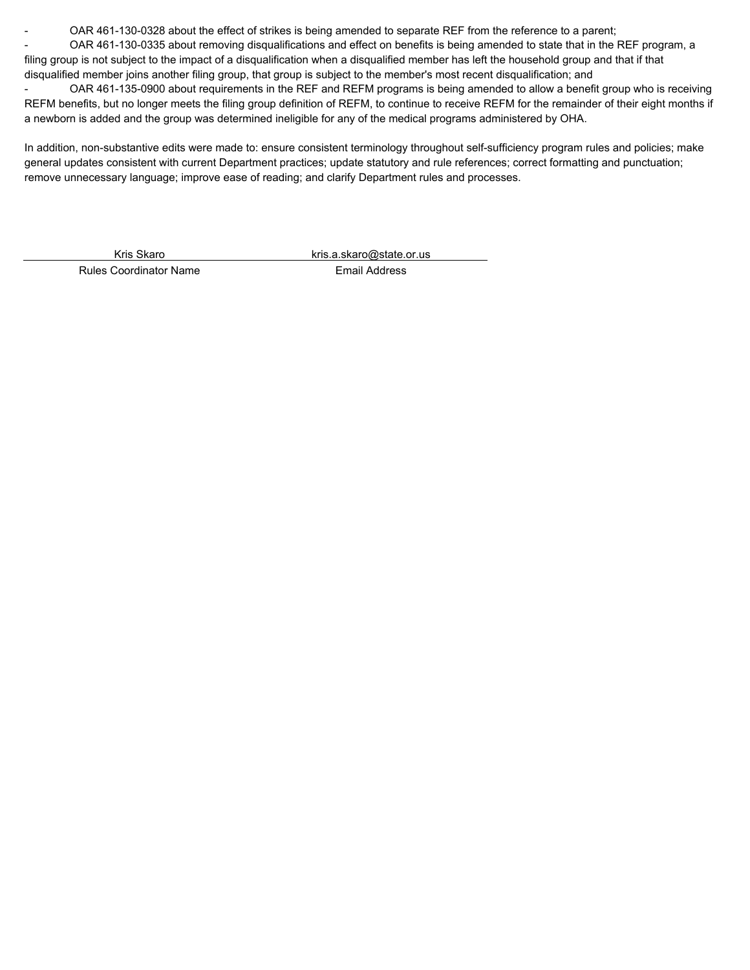OAR 461-130-0328 about the effect of strikes is being amended to separate REF from the reference to a parent;

- OAR 461-130-0335 about removing disqualifications and effect on benefits is being amended to state that in the REF program, a filing group is not subject to the impact of a disqualification when a disqualified member has left the household group and that if that disqualified member joins another filing group, that group is subject to the member's most recent disqualification; and

- OAR 461-135-0900 about requirements in the REF and REFM programs is being amended to allow a benefit group who is receiving REFM benefits, but no longer meets the filing group definition of REFM, to continue to receive REFM for the remainder of their eight months if a newborn is added and the group was determined ineligible for any of the medical programs administered by OHA.

In addition, non-substantive edits were made to: ensure consistent terminology throughout self-sufficiency program rules and policies; make general updates consistent with current Department practices; update statutory and rule references; correct formatting and punctuation; remove unnecessary language; improve ease of reading; and clarify Department rules and processes.

Kris Skaro kris.a.skaro@state.or.us

Rules Coordinator Name **Email Address**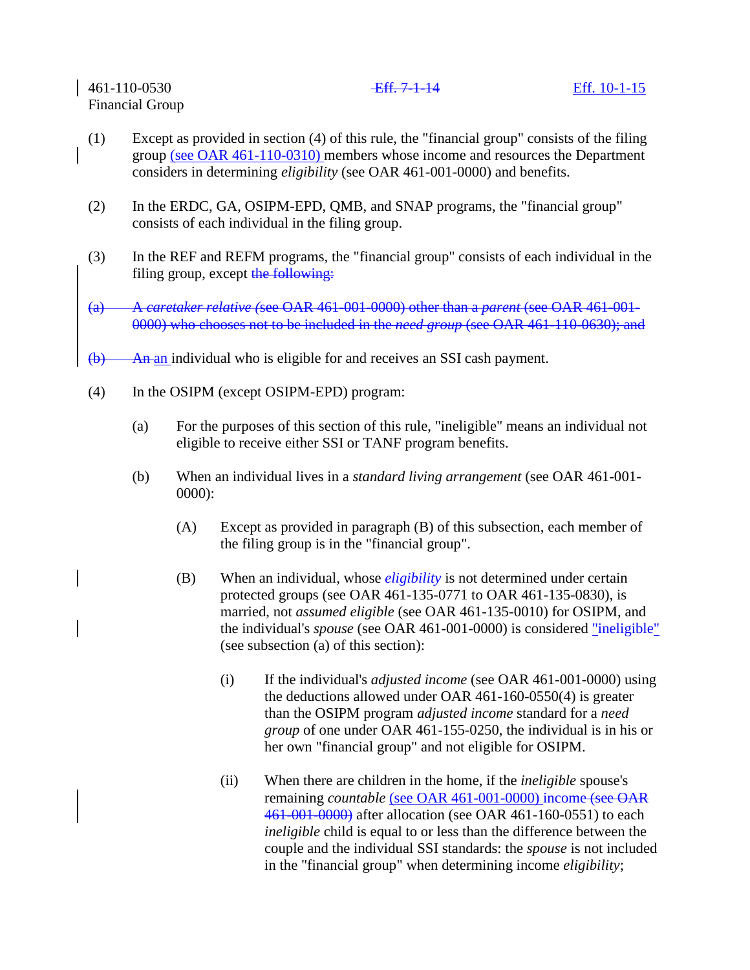- (1) Except as provided in section (4) of this rule, the "financial group" consists of the filing group (see OAR 461-110-0310) members whose income and resources the Department considers in determining *eligibility* (see OAR 461-001-0000) and benefits.
- (2) In the ERDC, GA, OSIPM-EPD, QMB, and SNAP programs, the "financial group" consists of each individual in the filing group.
- (3) In the REF and REFM programs, the "financial group" consists of each individual in the filing group, except the following:
- (a) A *caretaker relative (*see OAR 461-001-0000) other than a *parent* (see OAR 461-001- 0000) who chooses not to be included in the *need group* (see OAR 461-110-0630); and
- $\overline{(b)}$  An an individual who is eligible for and receives an SSI cash payment.
- (4) In the OSIPM (except OSIPM-EPD) program:
	- (a) For the purposes of this section of this rule, "ineligible" means an individual not eligible to receive either SSI or TANF program benefits.
	- (b) When an individual lives in a *standard living arrangement* (see OAR 461-001- 0000):
		- (A) Except as provided in paragraph (B) of this subsection, each member of the filing group is in the "financial group".
		- (B) When an individual, whose *eligibility* is not determined under certain protected groups (see OAR 461-135-0771 to OAR 461-135-0830), is married, not *assumed eligible* (see OAR 461-135-0010) for OSIPM, and the individual's *spouse* (see OAR 461-001-0000) is considered "ineligible" (see subsection (a) of this section):
			- (i) If the individual's *adjusted income* (see OAR 461-001-0000) using the deductions allowed under OAR 461-160-0550(4) is greater than the OSIPM program *adjusted income* standard for a *need group* of one under OAR 461-155-0250, the individual is in his or her own "financial group" and not eligible for OSIPM.
			- (ii) When there are children in the home, if the *ineligible* spouse's remaining *countable* (see OAR 461-001-0000) income (see OAR 461-001-0000) after allocation (see OAR 461-160-0551) to each *ineligible* child is equal to or less than the difference between the couple and the individual SSI standards: the *spouse* is not included in the "financial group" when determining income *eligibility*;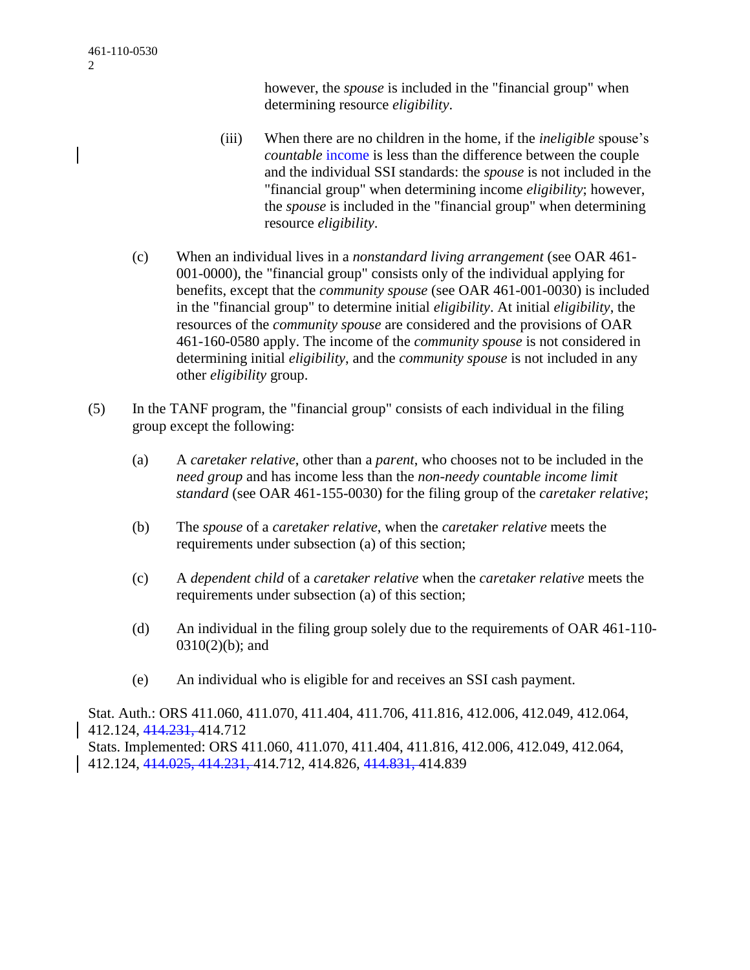however, the *spouse* is included in the "financial group" when determining resource *eligibility*.

- (iii) When there are no children in the home, if the *ineligible* spouse's *countable income* is less than the difference between the couple and the individual SSI standards: the *spouse* is not included in the "financial group" when determining income *eligibility*; however, the *spouse* is included in the "financial group" when determining resource *eligibility*.
- (c) When an individual lives in a *nonstandard living arrangement* (see OAR 461- 001-0000), the "financial group" consists only of the individual applying for benefits, except that the *community spouse* (see OAR 461-001-0030) is included in the "financial group" to determine initial *eligibility*. At initial *eligibility*, the resources of the *community spouse* are considered and the provisions of OAR 461-160-0580 apply. The income of the *community spouse* is not considered in determining initial *eligibility*, and the *community spouse* is not included in any other *eligibility* group.
- (5) In the TANF program, the "financial group" consists of each individual in the filing group except the following:
	- (a) A *caretaker relative*, other than a *parent*, who chooses not to be included in the *need group* and has income less than the *non-needy countable income limit standard* (see OAR 461-155-0030) for the filing group of the *caretaker relative*;
	- (b) The *spouse* of a *caretaker relative*, when the *caretaker relative* meets the requirements under subsection (a) of this section;
	- (c) A *dependent child* of a *caretaker relative* when the *caretaker relative* meets the requirements under subsection (a) of this section;
	- (d) An individual in the filing group solely due to the requirements of OAR 461-110- 0310(2)(b); and
	- (e) An individual who is eligible for and receives an SSI cash payment.

Stat. Auth.: ORS 411.060, 411.070, 411.404, 411.706, 411.816, 412.006, 412.049, 412.064, 412.124, 414.231, 414.712

Stats. Implemented: ORS 411.060, 411.070, 411.404, 411.816, 412.006, 412.049, 412.064, 412.124, 414.025, 414.231, 414.712, 414.826, 414.831, 414.839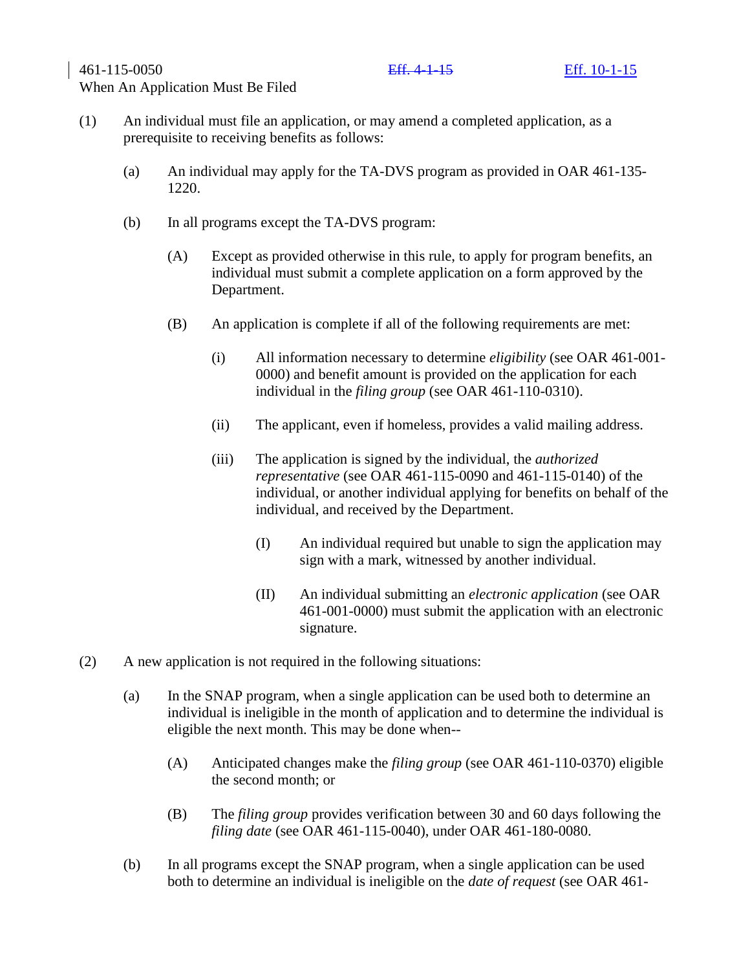461-115-0050 Eff. 4-1-15 Eff. 10-1-15

# When An Application Must Be Filed

- (1) An individual must file an application, or may amend a completed application, as a prerequisite to receiving benefits as follows:
	- (a) An individual may apply for the TA-DVS program as provided in OAR 461-135- 1220.
	- (b) In all programs except the TA-DVS program:
		- (A) Except as provided otherwise in this rule, to apply for program benefits, an individual must submit a complete application on a form approved by the Department.
		- (B) An application is complete if all of the following requirements are met:
			- (i) All information necessary to determine *eligibility* (see OAR 461-001- 0000) and benefit amount is provided on the application for each individual in the *filing group* (see OAR 461-110-0310).
			- (ii) The applicant, even if homeless, provides a valid mailing address.
			- (iii) The application is signed by the individual, the *authorized representative* (see OAR 461-115-0090 and 461-115-0140) of the individual, or another individual applying for benefits on behalf of the individual, and received by the Department.
				- (I) An individual required but unable to sign the application may sign with a mark, witnessed by another individual.
				- (II) An individual submitting an *electronic application* (see OAR 461-001-0000) must submit the application with an electronic signature.
- (2) A new application is not required in the following situations:
	- (a) In the SNAP program, when a single application can be used both to determine an individual is ineligible in the month of application and to determine the individual is eligible the next month. This may be done when--
		- (A) Anticipated changes make the *filing group* (see OAR 461-110-0370) eligible the second month; or
		- (B) The *filing group* provides verification between 30 and 60 days following the *filing date* (see OAR 461-115-0040), under OAR 461-180-0080.
	- (b) In all programs except the SNAP program, when a single application can be used both to determine an individual is ineligible on the *date of request* (see OAR 461-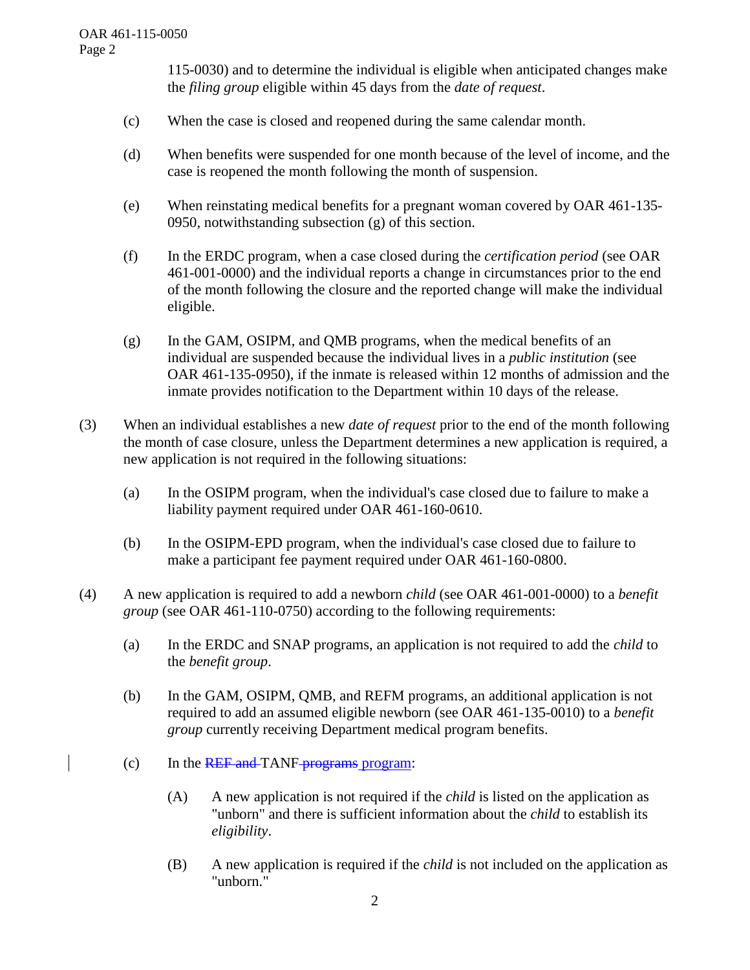115-0030) and to determine the individual is eligible when anticipated changes make the *filing group* eligible within 45 days from the *date of request*.

- (c) When the case is closed and reopened during the same calendar month.
- (d) When benefits were suspended for one month because of the level of income, and the case is reopened the month following the month of suspension.
- (e) When reinstating medical benefits for a pregnant woman covered by OAR 461-135- 0950, notwithstanding subsection (g) of this section.
- (f) In the ERDC program, when a case closed during the *certification period* (see OAR 461-001-0000) and the individual reports a change in circumstances prior to the end of the month following the closure and the reported change will make the individual eligible.
- (g) In the GAM, OSIPM, and QMB programs, when the medical benefits of an individual are suspended because the individual lives in a *public institution* (see OAR 461-135-0950), if the inmate is released within 12 months of admission and the inmate provides notification to the Department within 10 days of the release.
- (3) When an individual establishes a new *date of request* prior to the end of the month following the month of case closure, unless the Department determines a new application is required, a new application is not required in the following situations:
	- (a) In the OSIPM program, when the individual's case closed due to failure to make a liability payment required under OAR 461-160-0610.
	- (b) In the OSIPM-EPD program, when the individual's case closed due to failure to make a participant fee payment required under OAR 461-160-0800.
- (4) A new application is required to add a newborn *child* (see OAR 461-001-0000) to a *benefit group* (see OAR 461-110-0750) according to the following requirements:
	- (a) In the ERDC and SNAP programs, an application is not required to add the *child* to the *benefit group*.
	- (b) In the GAM, OSIPM, QMB, and REFM programs, an additional application is not required to add an assumed eligible newborn (see OAR 461-135-0010) to a *benefit group* currently receiving Department medical program benefits.
	- $\text{(c)}$  In the REF and TANF-programs program:
		- (A) A new application is not required if the *child* is listed on the application as "unborn" and there is sufficient information about the *child* to establish its *eligibility*.
		- (B) A new application is required if the *child* is not included on the application as "unborn."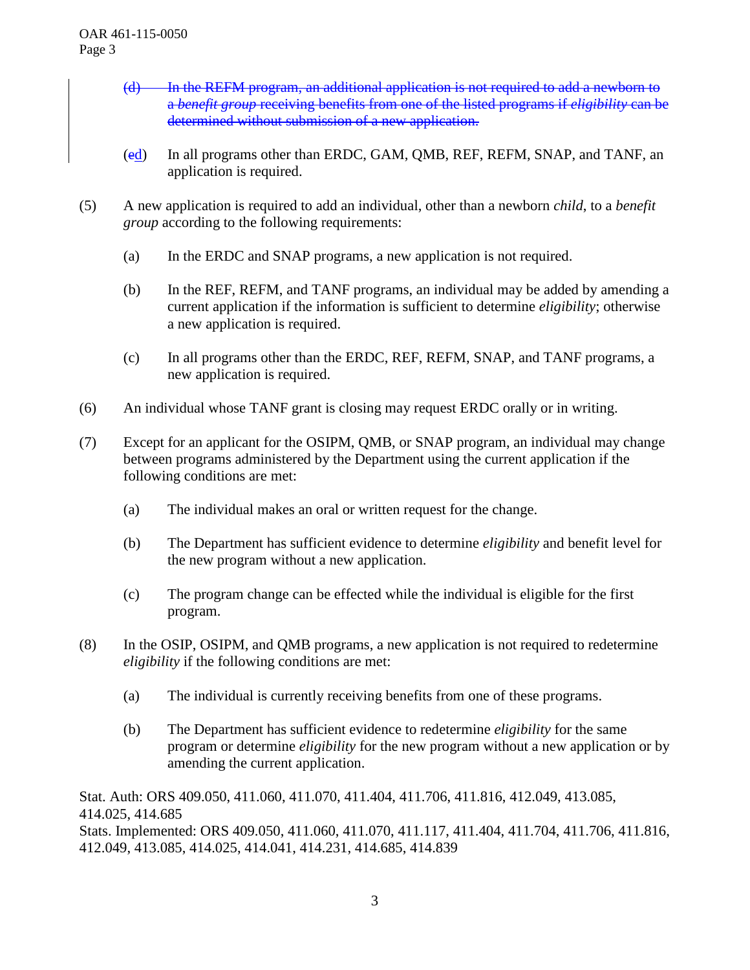- (d) In the REFM program, an additional application is not required to add a newborn to a *benefit group* receiving benefits from one of the listed programs if *eligibility* can be determined without submission of a new application.
- (ed) In all programs other than ERDC, GAM, QMB, REF, REFM, SNAP, and TANF, an application is required.
- (5) A new application is required to add an individual, other than a newborn *child*, to a *benefit group* according to the following requirements:
	- (a) In the ERDC and SNAP programs, a new application is not required.
	- (b) In the REF, REFM, and TANF programs, an individual may be added by amending a current application if the information is sufficient to determine *eligibility*; otherwise a new application is required.
	- (c) In all programs other than the ERDC, REF, REFM, SNAP, and TANF programs, a new application is required.
- (6) An individual whose TANF grant is closing may request ERDC orally or in writing.
- (7) Except for an applicant for the OSIPM, QMB, or SNAP program, an individual may change between programs administered by the Department using the current application if the following conditions are met:
	- (a) The individual makes an oral or written request for the change.
	- (b) The Department has sufficient evidence to determine *eligibility* and benefit level for the new program without a new application.
	- (c) The program change can be effected while the individual is eligible for the first program.
- (8) In the OSIP, OSIPM, and QMB programs, a new application is not required to redetermine *eligibility* if the following conditions are met:
	- (a) The individual is currently receiving benefits from one of these programs.
	- (b) The Department has sufficient evidence to redetermine *eligibility* for the same program or determine *eligibility* for the new program without a new application or by amending the current application.

Stat. Auth: ORS 409.050, 411.060, 411.070, 411.404, 411.706, 411.816, 412.049, 413.085, 414.025, 414.685

Stats. Implemented: ORS 409.050, 411.060, 411.070, 411.117, 411.404, 411.704, 411.706, 411.816, 412.049, 413.085, 414.025, 414.041, 414.231, 414.685, 414.839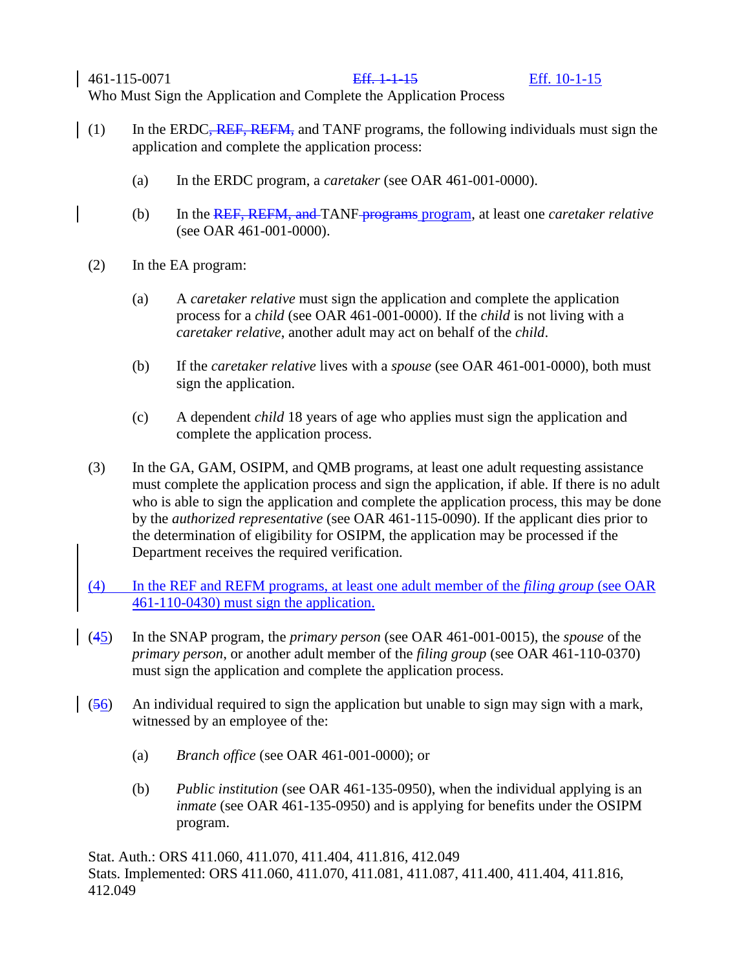461-115-0071 Eff. 1-1-15 Eff. 10-1-15

Who Must Sign the Application and Complete the Application Process

- (1) In the ERDC<del>, REF, REFM,</del> and TANF programs, the following individuals must sign the application and complete the application process:
	- (a) In the ERDC program, a *caretaker* (see OAR 461-001-0000).
	- (b) In the REF, REFM, and TANF programs program, at least one *caretaker relative* (see OAR 461-001-0000).
	- (2) In the EA program:
		- (a) A *caretaker relative* must sign the application and complete the application process for a *child* (see OAR 461-001-0000). If the *child* is not living with a *caretaker relative*, another adult may act on behalf of the *child*.
		- (b) If the *caretaker relative* lives with a *spouse* (see OAR 461-001-0000), both must sign the application.
		- (c) A dependent *child* 18 years of age who applies must sign the application and complete the application process.
	- (3) In the GA, GAM, OSIPM, and QMB programs, at least one adult requesting assistance must complete the application process and sign the application, if able. If there is no adult who is able to sign the application and complete the application process, this may be done by the *authorized representative* (see OAR 461-115-0090). If the applicant dies prior to the determination of eligibility for OSIPM, the application may be processed if the Department receives the required verification.
	- (4) In the REF and REFM programs, at least one adult member of the *filing group* (see OAR 461-110-0430) must sign the application.
	- (45) In the SNAP program, the *primary person* (see OAR 461-001-0015), the *spouse* of the *primary person*, or another adult member of the *filing group* (see OAR 461-110-0370) must sign the application and complete the application process.
- (56) An individual required to sign the application but unable to sign may sign with a mark, witnessed by an employee of the:
	- (a) *Branch office* (see OAR 461-001-0000); or
	- (b) *Public institution* (see OAR 461-135-0950), when the individual applying is an *inmate* (see OAR 461-135-0950) and is applying for benefits under the OSIPM program.

Stat. Auth.: ORS 411.060, 411.070, 411.404, 411.816, 412.049 Stats. Implemented: ORS 411.060, 411.070, 411.081, 411.087, 411.400, 411.404, 411.816, 412.049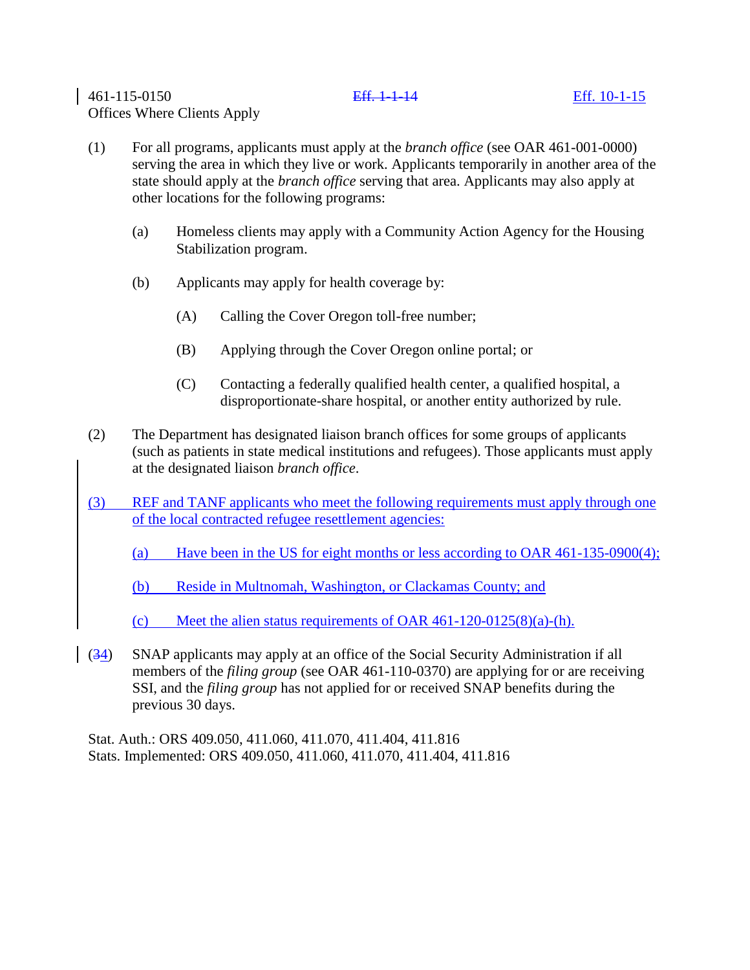# 461-115-0150 Eff. 1-1-14 Eff. 10-1-15 Offices Where Clients Apply

# (1) For all programs, applicants must apply at the *branch office* (see OAR 461-001-0000) serving the area in which they live or work. Applicants temporarily in another area of the state should apply at the *branch office* serving that area. Applicants may also apply at other locations for the following programs:

- (a) Homeless clients may apply with a Community Action Agency for the Housing Stabilization program.
- (b) Applicants may apply for health coverage by:
	- (A) Calling the Cover Oregon toll-free number;
	- (B) Applying through the Cover Oregon online portal; or
	- (C) Contacting a federally qualified health center, a qualified hospital, a disproportionate-share hospital, or another entity authorized by rule.
- (2) The Department has designated liaison branch offices for some groups of applicants (such as patients in state medical institutions and refugees). Those applicants must apply at the designated liaison *branch office*.
- (3) REF and TANF applicants who meet the following requirements must apply through one of the local contracted refugee resettlement agencies:
	- (a) Have been in the US for eight months or less according to OAR 461-135-0900(4);
	- (b) Reside in Multnomah, Washington, or Clackamas County; and
	- (c) Meet the alien status requirements of OAR  $461-120-0125(8)(a)-(h)$ .
- (34) SNAP applicants may apply at an office of the Social Security Administration if all members of the *filing group* (see OAR 461-110-0370) are applying for or are receiving SSI, and the *filing group* has not applied for or received SNAP benefits during the previous 30 days.

Stat. Auth.: ORS 409.050, 411.060, 411.070, 411.404, 411.816 Stats. Implemented: ORS 409.050, 411.060, 411.070, 411.404, 411.816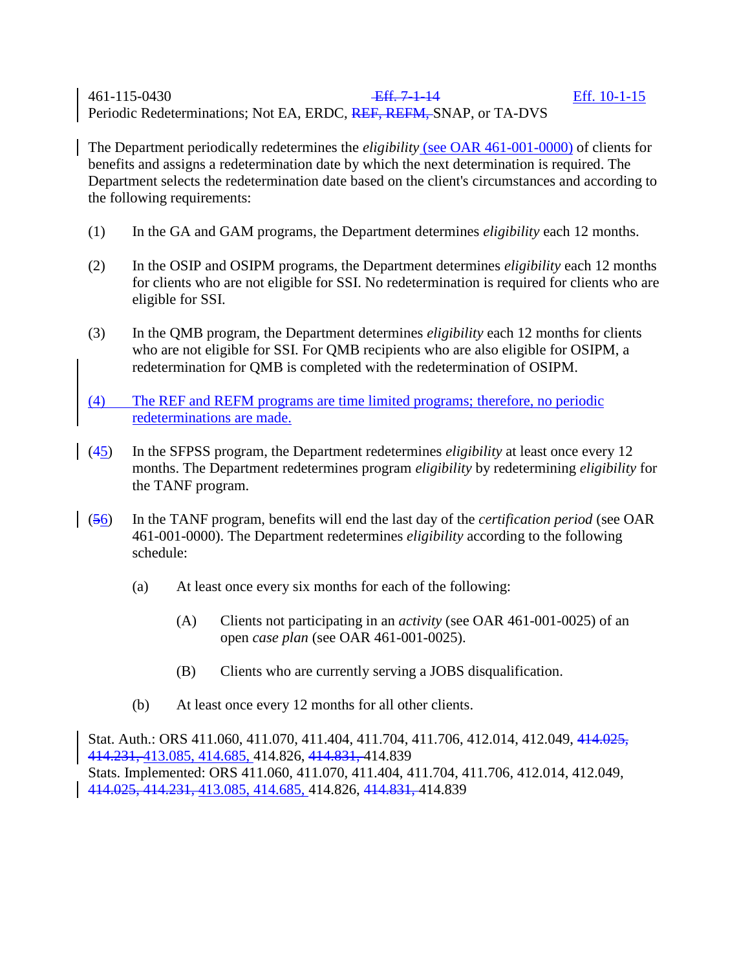# 461-115-0430 Eff. 7-1-14 Eff. 10-1-15 Periodic Redeterminations; Not EA, ERDC, REF, REFM, SNAP, or TA-DVS

The Department periodically redetermines the *eligibility* (see OAR 461-001-0000) of clients for benefits and assigns a redetermination date by which the next determination is required. The Department selects the redetermination date based on the client's circumstances and according to the following requirements:

- (1) In the GA and GAM programs, the Department determines *eligibility* each 12 months.
- (2) In the OSIP and OSIPM programs, the Department determines *eligibility* each 12 months for clients who are not eligible for SSI. No redetermination is required for clients who are eligible for SSI.
- (3) In the QMB program, the Department determines *eligibility* each 12 months for clients who are not eligible for SSI. For QMB recipients who are also eligible for OSIPM, a redetermination for QMB is completed with the redetermination of OSIPM.
- (4) The REF and REFM programs are time limited programs; therefore, no periodic redeterminations are made.
- (45) In the SFPSS program, the Department redetermines *eligibility* at least once every 12 months. The Department redetermines program *eligibility* by redetermining *eligibility* for the TANF program.
- (56) In the TANF program, benefits will end the last day of the *certification period* (see OAR 461-001-0000). The Department redetermines *eligibility* according to the following schedule:
	- (a) At least once every six months for each of the following:
		- (A) Clients not participating in an *activity* (see OAR 461-001-0025) of an open *case plan* (see OAR 461-001-0025).
		- (B) Clients who are currently serving a JOBS disqualification.
	- (b) At least once every 12 months for all other clients.

Stat. Auth.: ORS 411.060, 411.070, 411.404, 411.704, 411.706, 412.014, 412.049, 414.025, 414.231, 413.085, 414.685, 414.826, 414.831, 414.839 Stats. Implemented: ORS 411.060, 411.070, 411.404, 411.704, 411.706, 412.014, 412.049, 414.025, 414.231, 413.085, 414.685, 414.826, 414.831, 414.839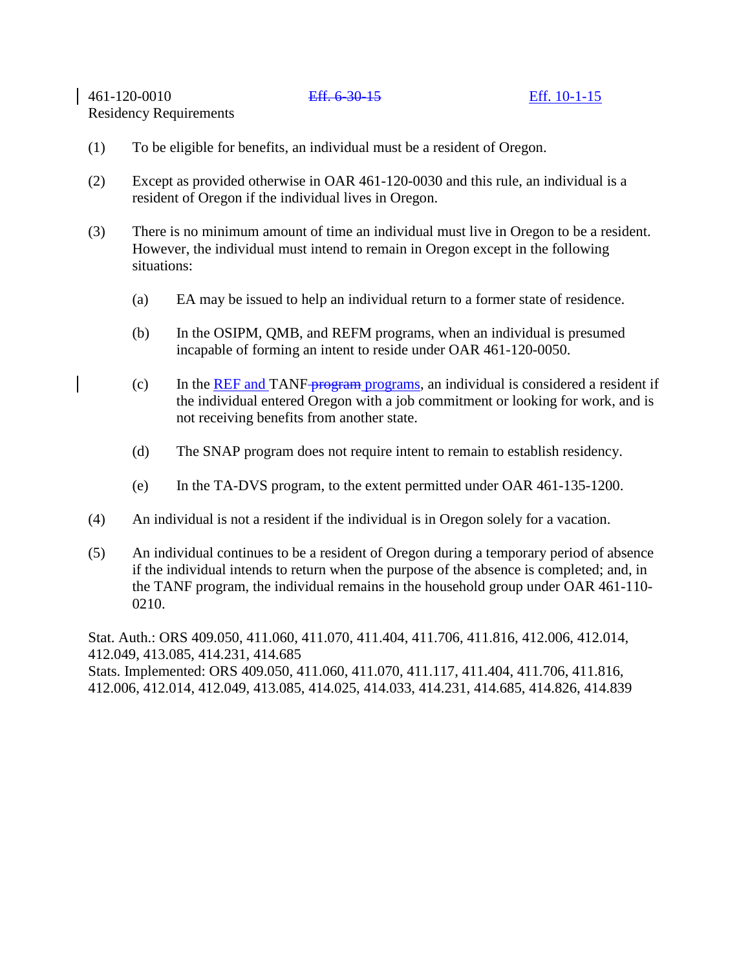461-120-0010 Eff. 6-30-15 Eff. 10-1-15

Residency Requirements

- (1) To be eligible for benefits, an individual must be a resident of Oregon.
- (2) Except as provided otherwise in OAR 461-120-0030 and this rule, an individual is a resident of Oregon if the individual lives in Oregon.
- (3) There is no minimum amount of time an individual must live in Oregon to be a resident. However, the individual must intend to remain in Oregon except in the following situations:
	- (a) EA may be issued to help an individual return to a former state of residence.
	- (b) In the OSIPM, QMB, and REFM programs, when an individual is presumed incapable of forming an intent to reside under OAR 461-120-0050.
	- (c) In the REF and TANF-program programs, an individual is considered a resident if the individual entered Oregon with a job commitment or looking for work, and is not receiving benefits from another state.
	- (d) The SNAP program does not require intent to remain to establish residency.
	- (e) In the TA-DVS program, to the extent permitted under OAR 461-135-1200.
- (4) An individual is not a resident if the individual is in Oregon solely for a vacation.
- (5) An individual continues to be a resident of Oregon during a temporary period of absence if the individual intends to return when the purpose of the absence is completed; and, in the TANF program, the individual remains in the household group under OAR 461-110- 0210.

Stat. Auth.: ORS 409.050, 411.060, 411.070, 411.404, 411.706, 411.816, 412.006, 412.014, 412.049, 413.085, 414.231, 414.685 Stats. Implemented: ORS 409.050, 411.060, 411.070, 411.117, 411.404, 411.706, 411.816, 412.006, 412.014, 412.049, 413.085, 414.025, 414.033, 414.231, 414.685, 414.826, 414.839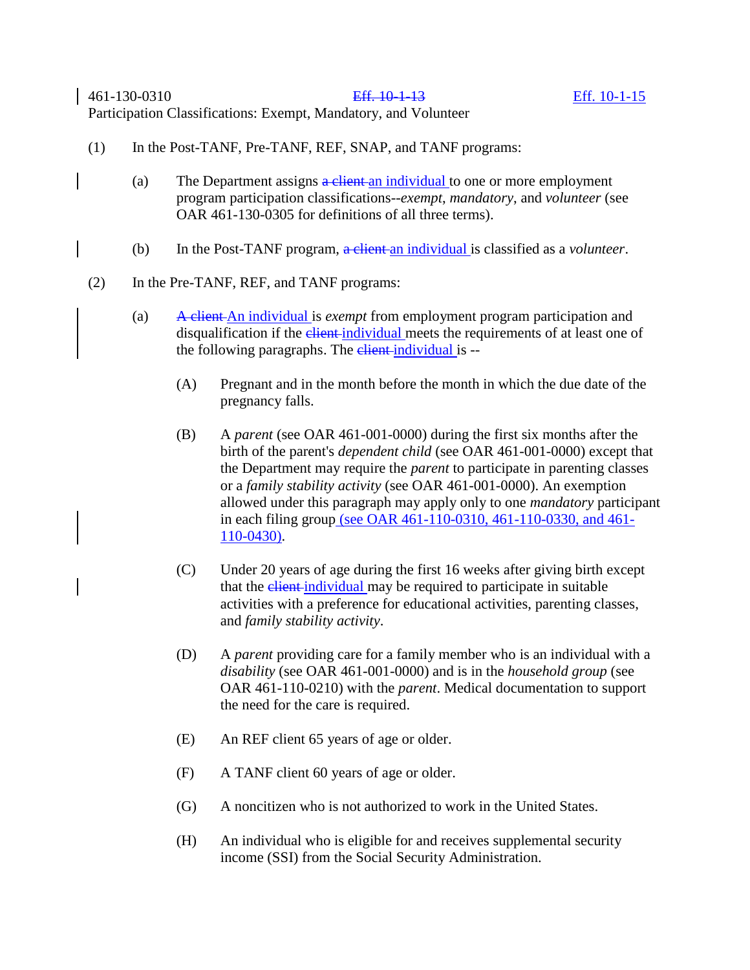461-130-0310 Eff. 10-1-13 Eff. 10-1-15 Participation Classifications: Exempt, Mandatory, and Volunteer

- (1) In the Post-TANF, Pre-TANF, REF, SNAP, and TANF programs:
	- (a) The Department assigns  $\frac{a}{b}$  client an individual to one or more employment program participation classifications--*exempt*, *mandatory*, and *volunteer* (see OAR 461-130-0305 for definitions of all three terms).
	- (b) In the Post-TANF program, a client an individual is classified as a *volunteer*.
- (2) In the Pre-TANF, REF, and TANF programs:
	- (a) A client An individual is *exempt* from employment program participation and disqualification if the *client-individual* meets the requirements of at least one of the following paragraphs. The elient-individual is --
		- (A) Pregnant and in the month before the month in which the due date of the pregnancy falls.
		- (B) A *parent* (see OAR 461-001-0000) during the first six months after the birth of the parent's *dependent child* (see OAR 461-001-0000) except that the Department may require the *parent* to participate in parenting classes or a *family stability activity* (see OAR 461-001-0000). An exemption allowed under this paragraph may apply only to one *mandatory* participant in each filing group (see OAR 461-110-0310, 461-110-0330, and 461- 110-0430).
		- (C) Under 20 years of age during the first 16 weeks after giving birth except that the client-individual may be required to participate in suitable activities with a preference for educational activities, parenting classes, and *family stability activity*.
		- (D) A *parent* providing care for a family member who is an individual with a *disability* (see OAR 461-001-0000) and is in the *household group* (see OAR 461-110-0210) with the *parent*. Medical documentation to support the need for the care is required.
		- (E) An REF client 65 years of age or older.
		- (F) A TANF client 60 years of age or older.
		- (G) A noncitizen who is not authorized to work in the United States.
		- (H) An individual who is eligible for and receives supplemental security income (SSI) from the Social Security Administration.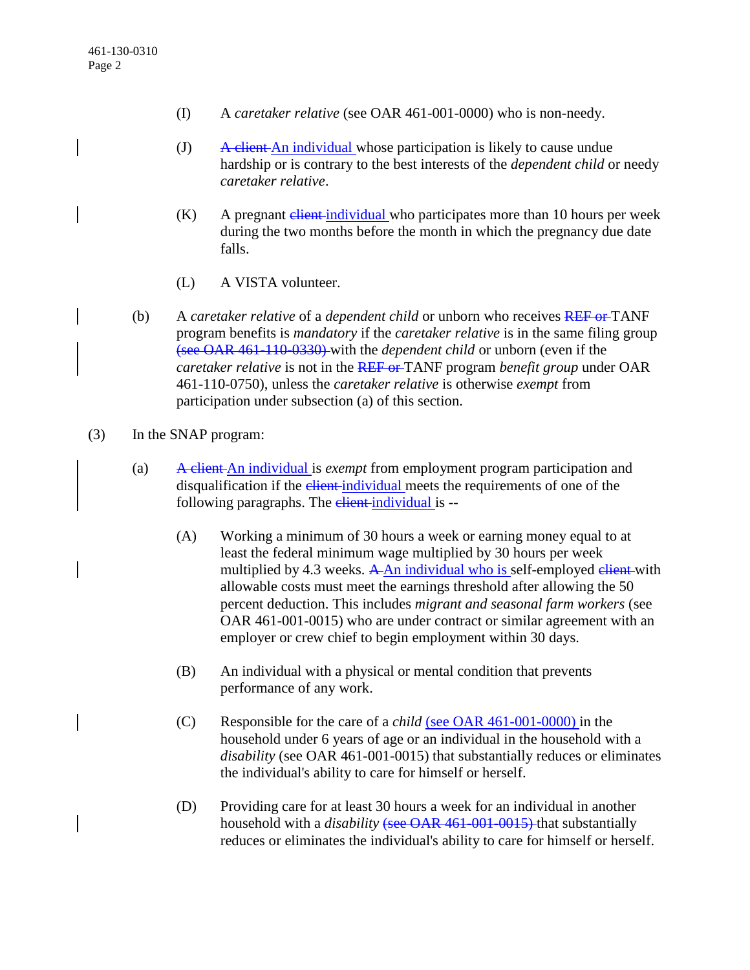- (I) A *caretaker relative* (see OAR 461-001-0000) who is non-needy.
- (J)  $A$  client An individual whose participation is likely to cause undue hardship or is contrary to the best interests of the *dependent child* or needy *caretaker relative*.
- $(K)$  A pregnant elient-individual who participates more than 10 hours per week during the two months before the month in which the pregnancy due date falls.
- (L) A VISTA volunteer.
- (b) A *caretaker relative* of a *dependent child* or unborn who receives REF or TANF program benefits is *mandatory* if the *caretaker relative* is in the same filing group (see OAR 461-110-0330) with the *dependent child* or unborn (even if the *caretaker relative* is not in the REF or TANF program *benefit group* under OAR 461-110-0750), unless the *caretaker relative* is otherwise *exempt* from participation under subsection (a) of this section.
- (3) In the SNAP program:
	- (a) A client An individual is *exempt* from employment program participation and disqualification if the *client*-individual meets the requirements of one of the following paragraphs. The client-individual is --
		- (A) Working a minimum of 30 hours a week or earning money equal to at least the federal minimum wage multiplied by 30 hours per week multiplied by 4.3 weeks.  $A$ -An individual who is self-employed elient-with allowable costs must meet the earnings threshold after allowing the 50 percent deduction. This includes *migrant and seasonal farm workers* (see OAR 461-001-0015) who are under contract or similar agreement with an employer or crew chief to begin employment within 30 days.
		- (B) An individual with a physical or mental condition that prevents performance of any work.
		- (C) Responsible for the care of a *child* (see OAR 461-001-0000) in the household under 6 years of age or an individual in the household with a *disability* (see OAR 461-001-0015) that substantially reduces or eliminates the individual's ability to care for himself or herself.
		- (D) Providing care for at least 30 hours a week for an individual in another household with a *disability* (see OAR 461-001-0015) that substantially reduces or eliminates the individual's ability to care for himself or herself.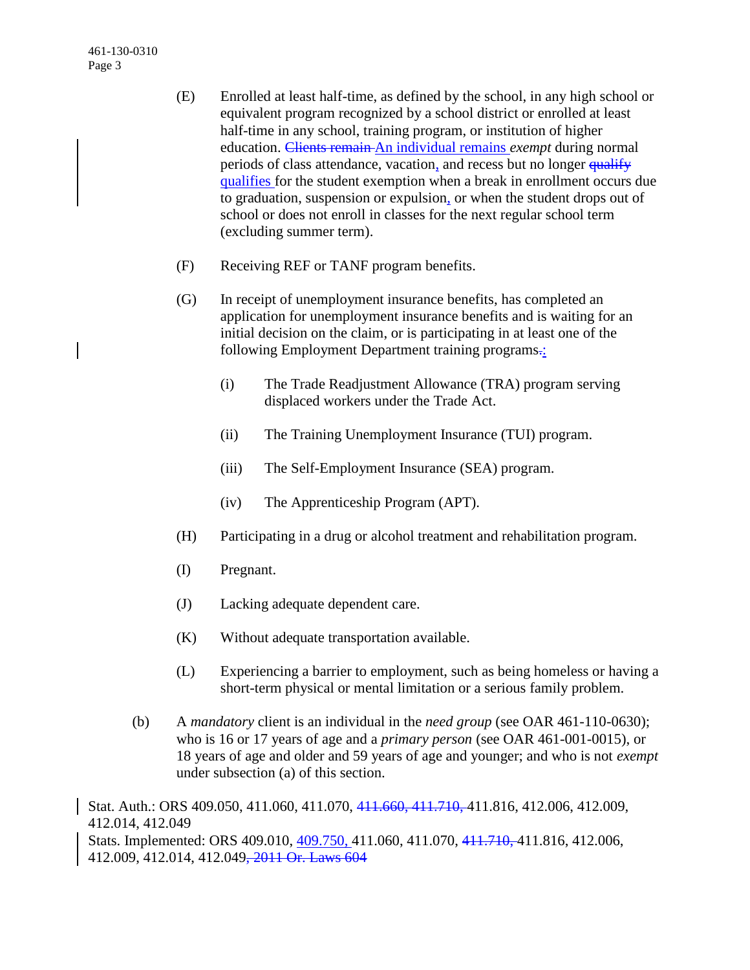461-130-0310 Page 3

- (E) Enrolled at least half-time, as defined by the school, in any high school or equivalent program recognized by a school district or enrolled at least half-time in any school, training program, or institution of higher education. Clients remain An individual remains *exempt* during normal periods of class attendance, vacation, and recess but no longer qualify qualifies for the student exemption when a break in enrollment occurs due to graduation, suspension or expulsion, or when the student drops out of school or does not enroll in classes for the next regular school term (excluding summer term).
- (F) Receiving REF or TANF program benefits.
- (G) In receipt of unemployment insurance benefits, has completed an application for unemployment insurance benefits and is waiting for an initial decision on the claim, or is participating in at least one of the following Employment Department training programs.:
	- (i) The Trade Readjustment Allowance (TRA) program serving displaced workers under the Trade Act.
	- (ii) The Training Unemployment Insurance (TUI) program.
	- (iii) The Self-Employment Insurance (SEA) program.
	- (iv) The Apprenticeship Program (APT).
- (H) Participating in a drug or alcohol treatment and rehabilitation program.
- (I) Pregnant.
- (J) Lacking adequate dependent care.
- (K) Without adequate transportation available.
- (L) Experiencing a barrier to employment, such as being homeless or having a short-term physical or mental limitation or a serious family problem.
- (b) A *mandatory* client is an individual in the *need group* (see OAR 461-110-0630); who is 16 or 17 years of age and a *primary person* (see OAR 461-001-0015), or 18 years of age and older and 59 years of age and younger; and who is not *exempt* under subsection (a) of this section.

Stat. Auth.: ORS 409.050, 411.060, 411.070, 411.660, 411.710, 411.816, 412.006, 412.009, 412.014, 412.049 Stats. Implemented: ORS 409.010, 409.750, 411.060, 411.070, 411.710, 411.816, 412.006, 412.009, 412.014, 412.049, 2011 Or. Laws 604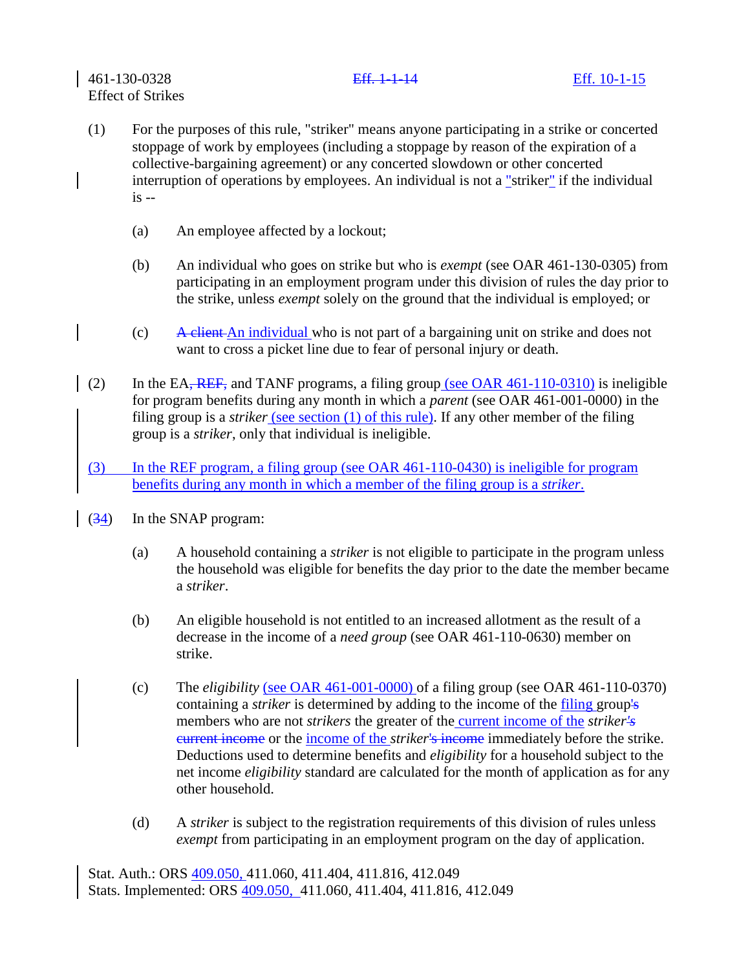- (1) For the purposes of this rule, "striker" means anyone participating in a strike or concerted stoppage of work by employees (including a stoppage by reason of the expiration of a collective-bargaining agreement) or any concerted slowdown or other concerted interruption of operations by employees. An individual is not a "striker" if the individual is --
	- (a) An employee affected by a lockout;
	- (b) An individual who goes on strike but who is *exempt* (see OAR 461-130-0305) from participating in an employment program under this division of rules the day prior to the strike, unless *exempt* solely on the ground that the individual is employed; or
	- $(c)$  A client An individual who is not part of a bargaining unit on strike and does not want to cross a picket line due to fear of personal injury or death.
- (2) In the EA, REF, and TANF programs, a filing group (see OAR  $461-110-0310$ ) is ineligible for program benefits during any month in which a *parent* (see OAR 461-001-0000) in the filing group is a *striker* (see section (1) of this rule). If any other member of the filing group is a *striker*, only that individual is ineligible.
- (3) In the REF program, a filing group (see OAR 461-110-0430) is ineligible for program benefits during any month in which a member of the filing group is a *striker*.
- $(34)$  In the SNAP program:
	- (a) A household containing a *striker* is not eligible to participate in the program unless the household was eligible for benefits the day prior to the date the member became a *striker*.
	- (b) An eligible household is not entitled to an increased allotment as the result of a decrease in the income of a *need group* (see OAR 461-110-0630) member on strike.
	- (c) The *eligibility* (see OAR 461-001-0000) of a filing group (see OAR 461-110-0370) containing a *striker* is determined by adding to the income of the filing group's members who are not *strikers* the greater of the current income of the *striker's* current income or the income of the *striker*'s income immediately before the strike. Deductions used to determine benefits and *eligibility* for a household subject to the net income *eligibility* standard are calculated for the month of application as for any other household.
	- (d) A *striker* is subject to the registration requirements of this division of rules unless *exempt* from participating in an employment program on the day of application.

Stat. Auth.: ORS 409.050, 411.060, 411.404, 411.816, 412.049 Stats. Implemented: ORS 409.050, 411.060, 411.404, 411.816, 412.049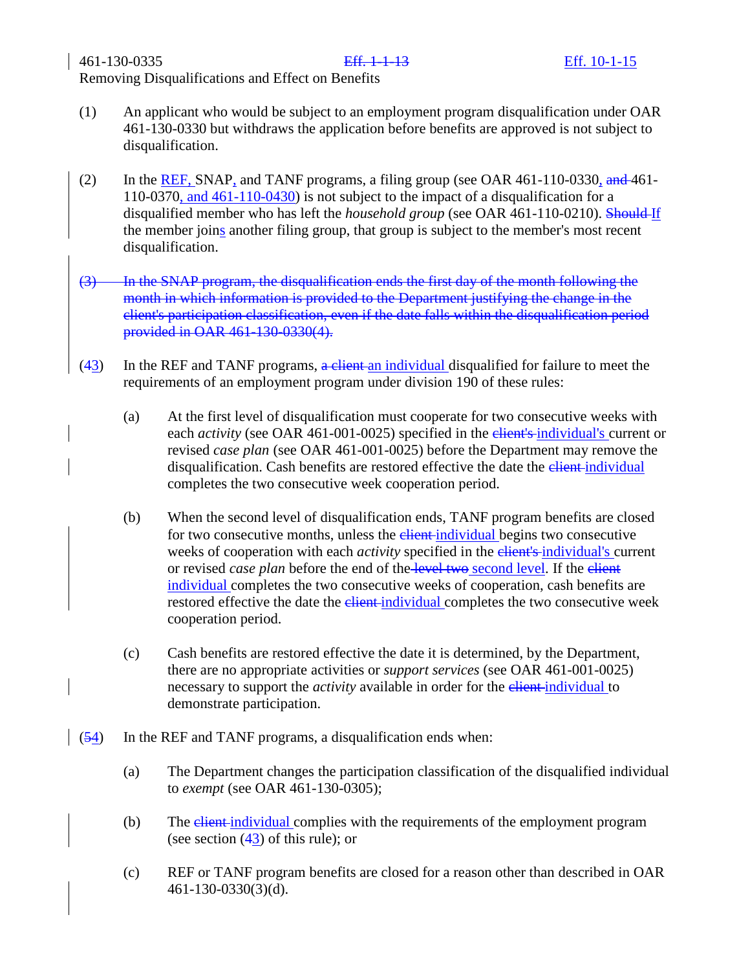- (1) An applicant who would be subject to an employment program disqualification under OAR 461-130-0330 but withdraws the application before benefits are approved is not subject to disqualification.
- (2) In the REF, SNAP, and TANF programs, a filing group (see OAR  $461-110-0330$ , and  $461-$ 110-0370, and 461-110-0430) is not subject to the impact of a disqualification for a disqualified member who has left the *household group* (see OAR 461-110-0210). Should If the member joins another filing group, that group is subject to the member's most recent disqualification.
- (3) In the SNAP program, the disqualification ends the first day of the month following the month in which information is provided to the Department justifying the change in the client's participation classification, even if the date falls within the disqualification period provided in OAR 461-130-0330(4).
- $(43)$  In the REF and TANF programs,  $\frac{a}{b}$  client an individual disqualified for failure to meet the requirements of an employment program under division 190 of these rules:
	- (a) At the first level of disqualification must cooperate for two consecutive weeks with each *activity* (see OAR 461-001-0025) specified in the elient's individual's current or revised *case plan* (see OAR 461-001-0025) before the Department may remove the disqualification. Cash benefits are restored effective the date the elient-individual completes the two consecutive week cooperation period.
	- (b) When the second level of disqualification ends, TANF program benefits are closed for two consecutive months, unless the **client-individual begins** two consecutive weeks of cooperation with each *activity* specified in the elient's individual's current or revised *case plan* before the end of the level two second level. If the elient individual completes the two consecutive weeks of cooperation, cash benefits are restored effective the date the elient-individual completes the two consecutive week cooperation period.
	- (c) Cash benefits are restored effective the date it is determined, by the Department, there are no appropriate activities or *support services* (see OAR 461-001-0025) necessary to support the *activity* available in order for the *elient-individual* to demonstrate participation.
- $(54)$  In the REF and TANF programs, a disqualification ends when:
	- (a) The Department changes the participation classification of the disqualified individual to *exempt* (see OAR 461-130-0305);
	- (b) The *client-individual* complies with the requirements of the employment program (see section  $(43)$  of this rule); or
	- (c) REF or TANF program benefits are closed for a reason other than described in OAR 461-130-0330(3)(d).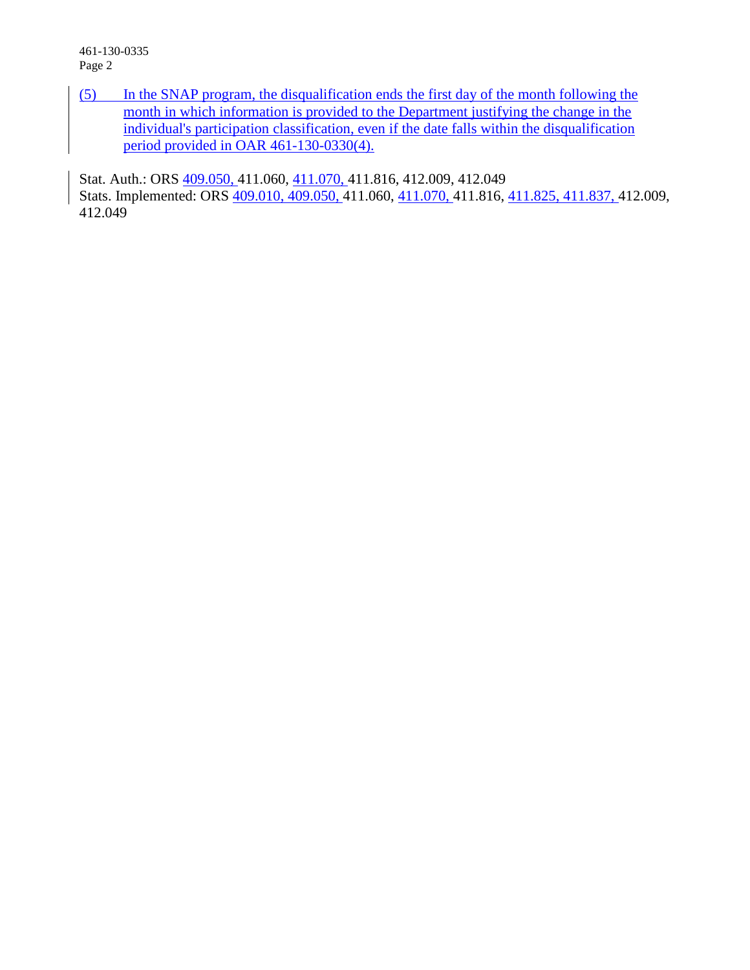461-130-0335 Page 2

(5) In the SNAP program, the disqualification ends the first day of the month following the month in which information is provided to the Department justifying the change in the individual's participation classification, even if the date falls within the disqualification period provided in OAR 461-130-0330(4).

Stat. Auth.: ORS 409.050, 411.060, 411.070, 411.816, 412.009, 412.049 Stats. Implemented: ORS 409.010, 409.050, 411.060, 411.070, 411.816, 411.825, 411.837, 412.009, 412.049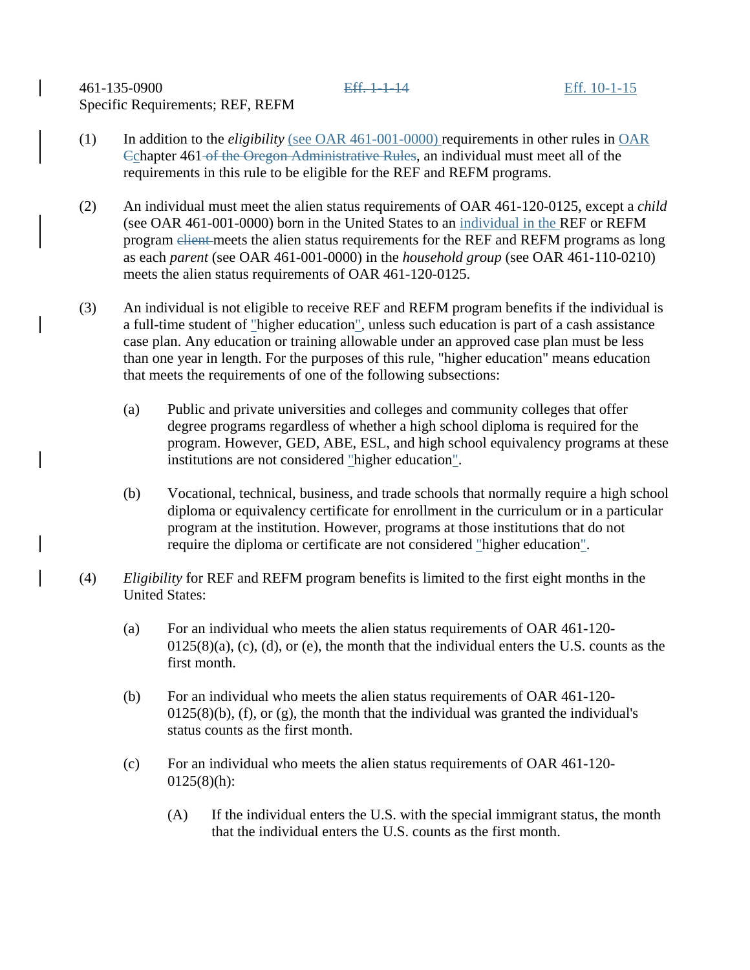461-135-0900 Eff. 1-1-14 Eff. 10-1-15 Specific Requirements; REF, REFM

- (1) In addition to the *eligibility* (see OAR 461-001-0000) requirements in other rules in OAR Cchapter 461 of the Oregon Administrative Rules, an individual must meet all of the requirements in this rule to be eligible for the REF and REFM programs.
- (2) An individual must meet the alien status requirements of OAR 461-120-0125, except a *child* (see OAR 461-001-0000) born in the United States to an individual in the REF or REFM program client meets the alien status requirements for the REF and REFM programs as long as each *parent* (see OAR 461-001-0000) in the *household group* (see OAR 461-110-0210) meets the alien status requirements of OAR 461-120-0125.
- (3) An individual is not eligible to receive REF and REFM program benefits if the individual is a full-time student of "higher education", unless such education is part of a cash assistance case plan. Any education or training allowable under an approved case plan must be less than one year in length. For the purposes of this rule, "higher education" means education that meets the requirements of one of the following subsections:
	- (a) Public and private universities and colleges and community colleges that offer degree programs regardless of whether a high school diploma is required for the program. However, GED, ABE, ESL, and high school equivalency programs at these institutions are not considered "higher education".
	- (b) Vocational, technical, business, and trade schools that normally require a high school diploma or equivalency certificate for enrollment in the curriculum or in a particular program at the institution. However, programs at those institutions that do not require the diploma or certificate are not considered "higher education".
- (4) *Eligibility* for REF and REFM program benefits is limited to the first eight months in the United States:
	- (a) For an individual who meets the alien status requirements of OAR 461-120-  $0125(8)(a)$ , (c), (d), or (e), the month that the individual enters the U.S. counts as the first month.
	- (b) For an individual who meets the alien status requirements of OAR 461-120-  $0125(8)(b)$ , (f), or (g), the month that the individual was granted the individual's status counts as the first month.
	- (c) For an individual who meets the alien status requirements of OAR 461-120-  $0125(8)(h)$ :
		- (A) If the individual enters the U.S. with the special immigrant status, the month that the individual enters the U.S. counts as the first month.